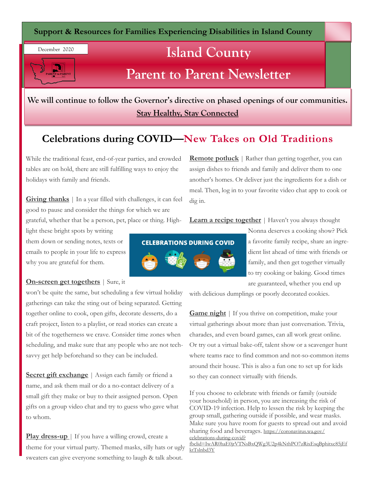**Support & Resources for Families Experiencing Disabilities in Island County**

# **Island County**

## **Parent to Parent Newsletter**

**We will continue to follow the Governor's directive on phased openings of our communities. Stay Healthy, Stay Connected**

### **Celebrations during COVID—New Takes on Old Traditions**

While the traditional feast, end-of-year parties, and crowded tables are on hold, there are still fulfilling ways to enjoy the holidays with family and friends.

**Giving thanks** | In a year filled with challenges, it can feel good to pause and consider the things for which we are

grateful, whether that be a person, pet, place or thing. High-

light these bright spots by writing them down or sending notes, texts or emails to people in your life to express why you are grateful for them.

December 2020

ARENT to PARENT

#### **On-screen get togethers** | Sure, it

won't be quite the same, but scheduling a few virtual holiday gatherings can take the sting out of being separated. Getting together online to cook, open gifts, decorate desserts, do a craft project, listen to a playlist, or read stories can create a bit of the togetherness we crave. Consider time zones when scheduling, and make sure that any people who are not techsavvy get help beforehand so they can be included.

**Secret gift exchange** | Assign each family or friend a name, and ask them mail or do a no-contact delivery of a small gift they make or buy to their assigned person. Open gifts on a group video chat and try to guess who gave what to whom.

**Play dress-up** | If you have a willing crowd, create a theme for your virtual party. Themed masks, silly hats or ugly sweaters can give everyone something to laugh & talk about.

**Remote potluck** | Rather than getting together, you can assign dishes to friends and family and deliver them to one another's homes. Or deliver just the ingredients for a dish or meal. Then, log in to your favorite video chat app to cook or dig in.

#### **Learn a recipe together** | Haven't you always thought



Nonna deserves a cooking show? Pick a favorite family recipe, share an ingredient list ahead of time with friends or family, and then get together virtually to try cooking or baking. Good times are guaranteed, whether you end up

with delicious dumplings or poorly decorated cookies.

**Game night** | If you thrive on competition, make your virtual gatherings about more than just conversation. Trivia, charades, and even board games, can all work great online. Or try out a virtual bake-off, talent show or a scavenger hunt where teams race to find common and not-so-common items around their house. This is also a fun one to set up for kids so they can connect virtually with friends.

If you choose to celebrate with friends or family (outside your household) in person, you are increasing the risk of COVID-19 infection. Help to lessen the risk by keeping the group small, gathering outside if possible, and wear masks. Make sure you have room for guests to spread out and avoid sharing food and beverages. https://coronavirus.wa.gov/ celebrations-during-covid?

fbclid=IwAR0haE0jrVTNsBxQWg3U2p4kNthPO7zRixEsqBphitxc85jEf ktTslnbd3Y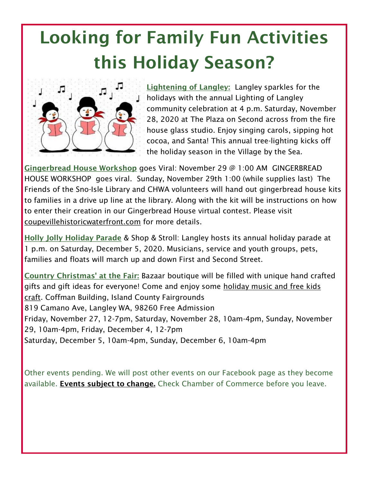# Looking for Family Fun Activities this Holiday Season?



Lightening of Langley: Langley sparkles for the holidays with the annual Lighting of Langley community celebration at 4 p.m. Saturday, November 28, 2020 at The Plaza on Second across from the fire house glass studio. Enjoy singing carols, sipping hot cocoa, and Santa! This annual tree-lighting kicks off the holiday season in the Village by the Sea.

Gingerbread House Workshop goes Viral: November 29 @ 1:00 AM GINGERBREAD HOUSE WORKSHOP goes viral. Sunday, November 29th 1:00 (while supplies last) The Friends of the Sno-Isle Library and CHWA volunteers will hand out gingerbread house kits to families in a drive up line at the library. Along with the kit will be instructions on how to enter their creation in our Gingerbread House virtual contest. Please visit coupevillehistoricwaterfront.com for more details.

Holly Jolly Holiday Parade & Shop & Stroll: Langley hosts its annual holiday parade at 1 p.m. on Saturday, December 5, 2020. Musicians, service and youth groups, pets, families and floats will march up and down First and Second Street.

Country Christmas' at the Fair: Bazaar boutique will be filled with unique hand crafted gifts and gift ideas for everyone! Come and enjoy some holiday music and free kids craft. Coffman Building, Island County Fairgrounds 819 Camano Ave, Langley WA, 98260 Free Admission Friday, November 27, 12-7pm, Saturday, November 28, 10am-4pm, Sunday, November 29, 10am-4pm, Friday, December 4, 12-7pm Saturday, December 5, 10am-4pm, Sunday, December 6, 10am-4pm

Other events pending. We will post other events on our Facebook page as they become available. **Events subject to change**. Check Chamber of Commerce before you leave.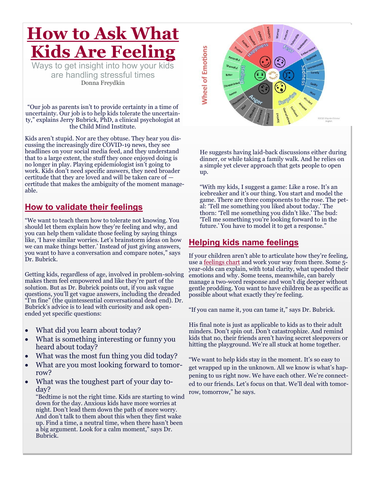# **How to Ask What Kids Are Feeling**

Ways to get insight into how your kids are handling stressful times Donna Freydkin

"Our job as parents isn't to provide certainty in a time of uncertainty. Our job is to help kids tolerate the uncertainty," explains Jerry Bubrick, PhD, a clinical psychologist at the Child Mind Institute.

Kids aren't stupid. Nor are they obtuse. They hear you discussing the increasingly dire COVID-19 news, they see headlines on your social media feed, and they understand that to a large extent, the stuff they once enjoyed doing is no longer in play. Playing epidemiologist isn't going to work. Kids don't need specific answers, they need broader certitude that they are loved and will be taken care of certitude that makes the ambiguity of the moment manageable.

### **How to validate their feelings**

"We want to teach them how to tolerate not knowing. You should let them explain how they're feeling and why, and you can help them validate those feeling by saying things like, 'I have similar worries. Let's brainstorm ideas on how we can make things better.' Instead of just giving answers, you want to have a conversation and compare notes," says Dr. Bubrick.

Getting kids, regardless of age, involved in problem-solving makes them feel empowered and like they're part of the solution. But as Dr. Bubrick points out, if you ask vague questions, you'll get vague answers, including the dreaded "I'm fine" (the quintessential conversational dead end). Dr. Bubrick's advice is to lead with curiosity and ask openended yet specific questions:

- What did you learn about today?
- What is something interesting or funny you heard about today?
- What was the most fun thing you did today?
- What are you most looking forward to tomorrow?
- What was the toughest part of your day today?

"Bedtime is not the right time. Kids are starting to wind down for the day. Anxious kids have more worries at night. Don't lead them down the path of more worry. And don't talk to them about this when they first wake up. Find a time, a neutral time, when there hasn't been a big argument. Look for a calm moment," says Dr. Bubrick.



He suggests having laid-back discussions either during dinner, or while taking a family walk. And he relies on a simple yet clever approach that gets people to open up.

"With my kids, I suggest a game: Like a rose. It's an icebreaker and it's our thing. You start and model the game. There are three components to the rose. The petal: 'Tell me something you liked about today.' The thorn: 'Tell me something you didn't like.' The bud: 'Tell me something you're looking forward to in the future.' You have to model it to get a response."

#### **Helping kids name feelings**

If your children aren't able to articulate how they're feeling, use a [feelings chart](https://www.fatherly.com/parenting/how-feelings-charts-help-anxious-kids/) and work your way from there. Some 5 year-olds can explain, with total clarity, what upended their emotions and why. Some teens, meanwhile, can barely manage a two-word response and won't dig deeper without gentle prodding. You want to have children be as specific as possible about what exactly they're feeling.

"If you can name it, you can tame it," says Dr. Bubrick.

His final note is just as applicable to kids as to their adult minders. Don't spin out. Don't catastrophize. And remind kids that no, their friends aren't having secret sleepovers or hitting the playground. We're all stuck at home together.

"We want to help kids stay in the moment. It's so easy to get wrapped up in the unknown. All we know is what's happening to us right now. We have each other. We're connected to our friends. Let's focus on that. We'll deal with tomorrow, tomorrow," he says.